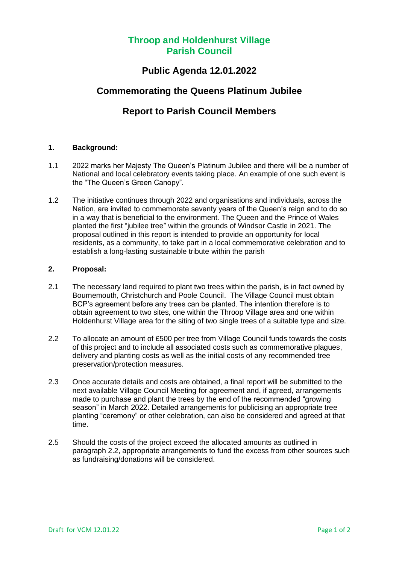# **Throop and Holdenhurst Village Parish Council**

### **Public Agenda 12.01.2022**

# **Commemorating the Queens Platinum Jubilee**

# **Report to Parish Council Members**

### **1. Background:**

- 1.1 2022 marks her Majesty The Queen's Platinum Jubilee and there will be a number of National and local celebratory events taking place. An example of one such event is the "The Queen's Green Canopy".
- 1.2 The initiative continues through 2022 and organisations and individuals, across the Nation, are invited to commemorate seventy years of the Queen's reign and to do so in a way that is beneficial to the environment. The Queen and the Prince of Wales planted the first "jubilee tree" within the grounds of Windsor Castle in 2021. The proposal outlined in this report is intended to provide an opportunity for local residents, as a community, to take part in a local commemorative celebration and to establish a long-lasting sustainable tribute within the parish

### **2. Proposal:**

- 2.1 The necessary land required to plant two trees within the parish, is in fact owned by Bournemouth, Christchurch and Poole Council. The Village Council must obtain BCP's agreement before any trees can be planted. The intention therefore is to obtain agreement to two sites, one within the Throop Village area and one within Holdenhurst Village area for the siting of two single trees of a suitable type and size.
- 2.2 To allocate an amount of £500 per tree from Village Council funds towards the costs of this project and to include all associated costs such as commemorative plagues, delivery and planting costs as well as the initial costs of any recommended tree preservation/protection measures.
- 2.3 Once accurate details and costs are obtained, a final report will be submitted to the next available Village Council Meeting for agreement and, if agreed, arrangements made to purchase and plant the trees by the end of the recommended "growing season" in March 2022. Detailed arrangements for publicising an appropriate tree planting "ceremony" or other celebration, can also be considered and agreed at that time.
- 2.5 Should the costs of the project exceed the allocated amounts as outlined in paragraph 2.2, appropriate arrangements to fund the excess from other sources such as fundraising/donations will be considered.